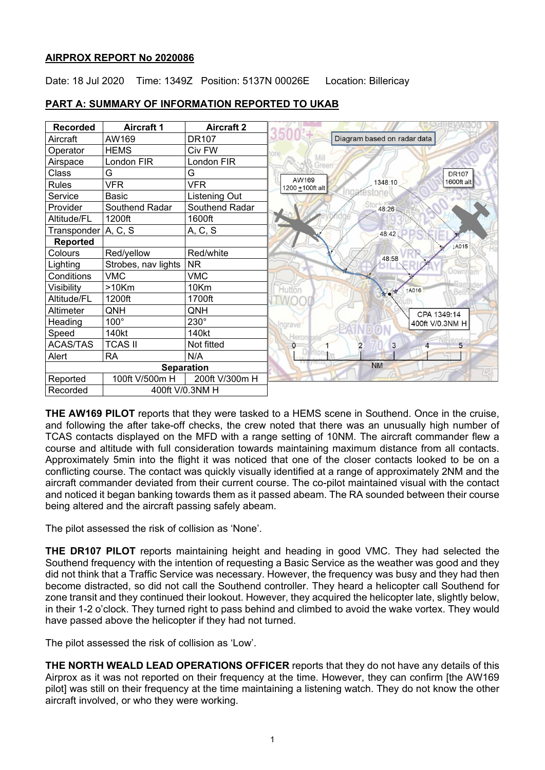### **AIRPROX REPORT No 2020086**

Date: 18 Jul 2020 Time: 1349Z Position: 5137N 00026E Location: Billericay

| <b>Recorded</b>     | <b>Aircraft 1</b>   | <b>Aircraft 2</b> |                          |                             |                 |
|---------------------|---------------------|-------------------|--------------------------|-----------------------------|-----------------|
| Aircraft            | AW169               | <b>DR107</b>      |                          | Diagram based on radar data |                 |
| Operator            | <b>HEMS</b>         | Civ FW            |                          |                             |                 |
| Airspace            | London FIR          | London FIR        |                          |                             |                 |
| Class               | G                   | G                 |                          |                             | <b>DR107</b>    |
| <b>Rules</b>        | <b>VFR</b>          | <b>VFR</b>        | AW169<br>1200 ±100ft alt | 1348:10                     | 1600ft alt      |
| Service             | Basic               | Listening Out     |                          |                             |                 |
| Provider            | Southend Radar      | Southend Radar    |                          | 48:26                       |                 |
| Altitude/FL         | 1200ft              | 1600ft            |                          |                             |                 |
| Transponder A, C, S |                     | A, C, S           |                          | 48:42                       |                 |
| <b>Reported</b>     |                     |                   |                          |                             | <b>JA015</b>    |
| Colours             | Red/yellow          | Red/white         |                          | 48:58                       |                 |
| Lighting            | Strobes, nav lights | <b>NR</b>         |                          |                             |                 |
| Conditions          | <b>VMC</b>          | <b>VMC</b>        |                          |                             | Down)           |
| Visibility          | $>10$ Km            | 10Km              | Hutton                   | <b>1A016</b>                | <b>Bell</b>     |
| Altitude/FL         | 1200ft              | 1700ft            |                          |                             |                 |
| Altimeter           | QNH                 | QNH               |                          |                             | CPA 1349:14     |
| Heading             | $100^\circ$         | $230^\circ$       | Ingrave                  |                             | 400ft V/0.3NM H |
| Speed               | 140kt               | 140kt             | Herona                   |                             |                 |
| <b>ACAS/TAS</b>     | <b>TCAS II</b>      | Not fitted        | 0                        | 3<br>$\overline{2}$         | 5<br>4          |
| Alert               | <b>RA</b>           | N/A               |                          |                             |                 |
|                     |                     | <b>Separation</b> |                          | <b>NM</b>                   |                 |
| Reported            | 100ft V/500m H      | 200ft V/300m H    |                          |                             |                 |
| Recorded            | 400ft V/0.3NM H     |                   |                          |                             |                 |

## **PART A: SUMMARY OF INFORMATION REPORTED TO UKAB**

**THE AW169 PILOT** reports that they were tasked to a HEMS scene in Southend. Once in the cruise, and following the after take-off checks, the crew noted that there was an unusually high number of TCAS contacts displayed on the MFD with a range setting of 10NM. The aircraft commander flew a course and altitude with full consideration towards maintaining maximum distance from all contacts. Approximately 5min into the flight it was noticed that one of the closer contacts looked to be on a conflicting course. The contact was quickly visually identified at a range of approximately 2NM and the aircraft commander deviated from their current course. The co-pilot maintained visual with the contact and noticed it began banking towards them as it passed abeam. The RA sounded between their course being altered and the aircraft passing safely abeam.

The pilot assessed the risk of collision as 'None'.

**THE DR107 PILOT** reports maintaining height and heading in good VMC. They had selected the Southend frequency with the intention of requesting a Basic Service as the weather was good and they did not think that a Traffic Service was necessary. However, the frequency was busy and they had then become distracted, so did not call the Southend controller. They heard a helicopter call Southend for zone transit and they continued their lookout. However, they acquired the helicopter late, slightly below, in their 1-2 o'clock. They turned right to pass behind and climbed to avoid the wake vortex. They would have passed above the helicopter if they had not turned.

The pilot assessed the risk of collision as 'Low'.

**THE NORTH WEALD LEAD OPERATIONS OFFICER** reports that they do not have any details of this Airprox as it was not reported on their frequency at the time. However, they can confirm [the AW169 pilot] was still on their frequency at the time maintaining a listening watch. They do not know the other aircraft involved, or who they were working.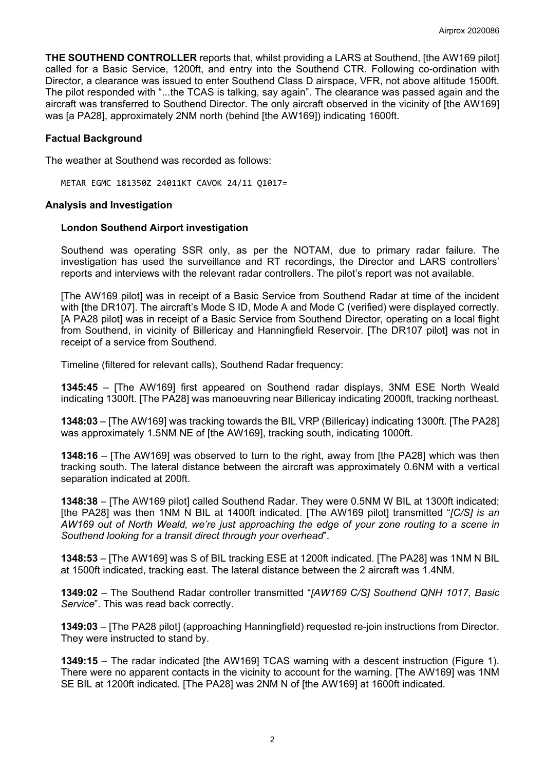**THE SOUTHEND CONTROLLER** reports that, whilst providing a LARS at Southend, [the AW169 pilot] called for a Basic Service, 1200ft, and entry into the Southend CTR. Following co-ordination with Director, a clearance was issued to enter Southend Class D airspace, VFR, not above altitude 1500ft. The pilot responded with "...the TCAS is talking, say again". The clearance was passed again and the aircraft was transferred to Southend Director. The only aircraft observed in the vicinity of [the AW169] was [a PA28], approximately 2NM north (behind [the AW169]) indicating 1600ft.

### **Factual Background**

The weather at Southend was recorded as follows:

METAR EGMC 181350Z 24011KT CAVOK 24/11 Q1017=

#### **Analysis and Investigation**

#### **London Southend Airport investigation**

Southend was operating SSR only, as per the NOTAM, due to primary radar failure. The investigation has used the surveillance and RT recordings, the Director and LARS controllers' reports and interviews with the relevant radar controllers. The pilot's report was not available.

[The AW169 pilot] was in receipt of a Basic Service from Southend Radar at time of the incident with [the DR107]. The aircraft's Mode S ID, Mode A and Mode C (verified) were displayed correctly. [A PA28 pilot] was in receipt of a Basic Service from Southend Director, operating on a local flight from Southend, in vicinity of Billericay and Hanningfield Reservoir. [The DR107 pilot] was not in receipt of a service from Southend.

Timeline (filtered for relevant calls), Southend Radar frequency:

**1345:45** – [The AW169] first appeared on Southend radar displays, 3NM ESE North Weald indicating 1300ft. [The PA28] was manoeuvring near Billericay indicating 2000ft, tracking northeast.

**1348:03** – [The AW169] was tracking towards the BIL VRP (Billericay) indicating 1300ft. [The PA28] was approximately 1.5NM NE of [the AW169], tracking south, indicating 1000ft.

**1348:16** – [The AW169] was observed to turn to the right, away from [the PA28] which was then tracking south. The lateral distance between the aircraft was approximately 0.6NM with a vertical separation indicated at 200ft.

**1348:38** – [The AW169 pilot] called Southend Radar. They were 0.5NM W BIL at 1300ft indicated; [the PA28] was then 1NM N BIL at 1400ft indicated. [The AW169 pilot] transmitted "*[C/S] is an AW169 out of North Weald, we're just approaching the edge of your zone routing to a scene in Southend looking for a transit direct through your overhead*".

**1348:53** – [The AW169] was S of BIL tracking ESE at 1200ft indicated. [The PA28] was 1NM N BIL at 1500ft indicated, tracking east. The lateral distance between the 2 aircraft was 1.4NM.

**1349:02** – The Southend Radar controller transmitted "*[AW169 C/S] Southend QNH 1017, Basic Service*". This was read back correctly.

**1349:03** – [The PA28 pilot] (approaching Hanningfield) requested re-join instructions from Director. They were instructed to stand by.

**1349:15** – The radar indicated [the AW169] TCAS warning with a descent instruction (Figure 1). There were no apparent contacts in the vicinity to account for the warning. [The AW169] was 1NM SE BIL at 1200ft indicated. [The PA28] was 2NM N of [the AW169] at 1600ft indicated.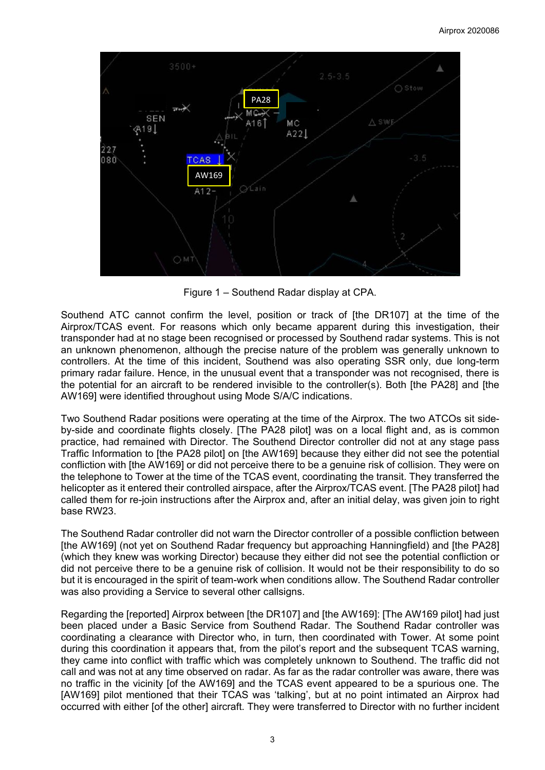

Figure 1 – Southend Radar display at CPA.

Southend ATC cannot confirm the level, position or track of [the DR107] at the time of the Airprox/TCAS event. For reasons which only became apparent during this investigation, their transponder had at no stage been recognised or processed by Southend radar systems. This is not an unknown phenomenon, although the precise nature of the problem was generally unknown to controllers. At the time of this incident, Southend was also operating SSR only, due long-term primary radar failure. Hence, in the unusual event that a transponder was not recognised, there is the potential for an aircraft to be rendered invisible to the controller(s). Both [the PA28] and [the AW169] were identified throughout using Mode S/A/C indications.

Two Southend Radar positions were operating at the time of the Airprox. The two ATCOs sit sideby-side and coordinate flights closely. [The PA28 pilot] was on a local flight and, as is common practice, had remained with Director. The Southend Director controller did not at any stage pass Traffic Information to [the PA28 pilot] on [the AW169] because they either did not see the potential confliction with [the AW169] or did not perceive there to be a genuine risk of collision. They were on the telephone to Tower at the time of the TCAS event, coordinating the transit. They transferred the helicopter as it entered their controlled airspace, after the Airprox/TCAS event. [The PA28 pilot] had called them for re-join instructions after the Airprox and, after an initial delay, was given join to right base RW23.

The Southend Radar controller did not warn the Director controller of a possible confliction between [the AW169] (not yet on Southend Radar frequency but approaching Hanningfield) and [the PA28] (which they knew was working Director) because they either did not see the potential confliction or did not perceive there to be a genuine risk of collision. It would not be their responsibility to do so but it is encouraged in the spirit of team-work when conditions allow. The Southend Radar controller was also providing a Service to several other callsigns.

Regarding the [reported] Airprox between [the DR107] and [the AW169]: [The AW169 pilot] had just been placed under a Basic Service from Southend Radar. The Southend Radar controller was coordinating a clearance with Director who, in turn, then coordinated with Tower. At some point during this coordination it appears that, from the pilot's report and the subsequent TCAS warning, they came into conflict with traffic which was completely unknown to Southend. The traffic did not call and was not at any time observed on radar. As far as the radar controller was aware, there was no traffic in the vicinity [of the AW169] and the TCAS event appeared to be a spurious one. The [AW169] pilot mentioned that their TCAS was 'talking', but at no point intimated an Airprox had occurred with either [of the other] aircraft. They were transferred to Director with no further incident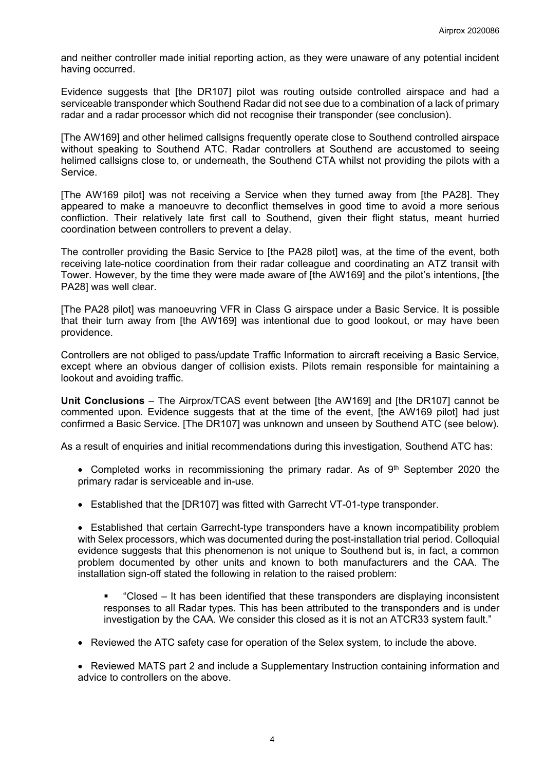and neither controller made initial reporting action, as they were unaware of any potential incident having occurred.

Evidence suggests that [the DR107] pilot was routing outside controlled airspace and had a serviceable transponder which Southend Radar did not see due to a combination of a lack of primary radar and a radar processor which did not recognise their transponder (see conclusion).

[The AW169] and other helimed callsigns frequently operate close to Southend controlled airspace without speaking to Southend ATC. Radar controllers at Southend are accustomed to seeing helimed callsigns close to, or underneath, the Southend CTA whilst not providing the pilots with a Service.

[The AW169 pilot] was not receiving a Service when they turned away from [the PA28]. They appeared to make a manoeuvre to deconflict themselves in good time to avoid a more serious confliction. Their relatively late first call to Southend, given their flight status, meant hurried coordination between controllers to prevent a delay.

The controller providing the Basic Service to [the PA28 pilot] was, at the time of the event, both receiving late-notice coordination from their radar colleague and coordinating an ATZ transit with Tower. However, by the time they were made aware of [the AW169] and the pilot's intentions, [the PA28] was well clear.

[The PA28 pilot] was manoeuvring VFR in Class G airspace under a Basic Service. It is possible that their turn away from [the AW169] was intentional due to good lookout, or may have been providence.

Controllers are not obliged to pass/update Traffic Information to aircraft receiving a Basic Service, except where an obvious danger of collision exists. Pilots remain responsible for maintaining a lookout and avoiding traffic.

**Unit Conclusions** – The Airprox/TCAS event between [the AW169] and [the DR107] cannot be commented upon. Evidence suggests that at the time of the event, [the AW169 pilot] had just confirmed a Basic Service. [The DR107] was unknown and unseen by Southend ATC (see below).

As a result of enquiries and initial recommendations during this investigation, Southend ATC has:

- Completed works in recommissioning the primary radar. As of  $9<sup>th</sup>$  September 2020 the primary radar is serviceable and in-use.
- Established that the [DR107] was fitted with Garrecht VT-01-type transponder.

• Established that certain Garrecht-type transponders have a known incompatibility problem with Selex processors, which was documented during the post-installation trial period. Colloquial evidence suggests that this phenomenon is not unique to Southend but is, in fact, a common problem documented by other units and known to both manufacturers and the CAA. The installation sign-off stated the following in relation to the raised problem:

- "Closed It has been identified that these transponders are displaying inconsistent responses to all Radar types. This has been attributed to the transponders and is under investigation by the CAA. We consider this closed as it is not an ATCR33 system fault."
- Reviewed the ATC safety case for operation of the Selex system, to include the above.

• Reviewed MATS part 2 and include a Supplementary Instruction containing information and advice to controllers on the above.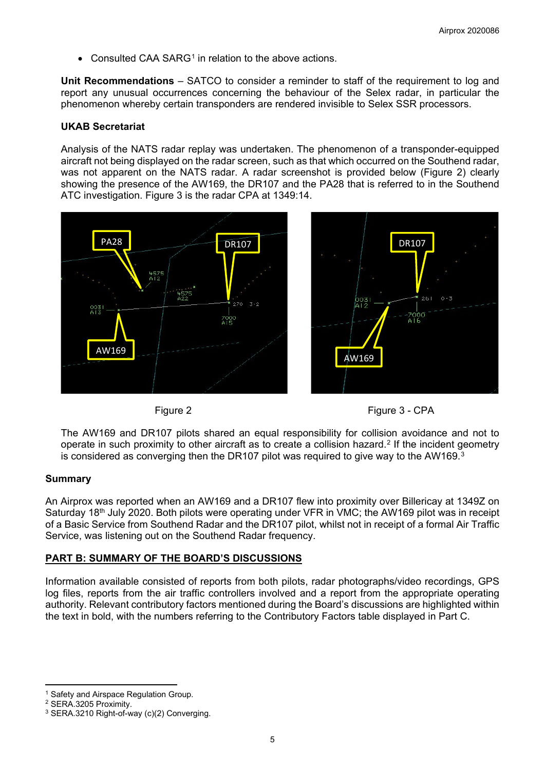• Consulted CAA SARG<sup>[1](#page-4-0)</sup> in relation to the above actions.

**Unit Recommendations** – SATCO to consider a reminder to staff of the requirement to log and report any unusual occurrences concerning the behaviour of the Selex radar, in particular the phenomenon whereby certain transponders are rendered invisible to Selex SSR processors.

#### **UKAB Secretariat**

Analysis of the NATS radar replay was undertaken. The phenomenon of a transponder-equipped aircraft not being displayed on the radar screen, such as that which occurred on the Southend radar, was not apparent on the NATS radar. A radar screenshot is provided below (Figure 2) clearly showing the presence of the AW169, the DR107 and the PA28 that is referred to in the Southend ATC investigation. Figure 3 is the radar CPA at 1349:14.







The AW169 and DR107 pilots shared an equal responsibility for collision avoidance and not to operate in such proximity to other aircraft as to create a collision hazard.<sup>[2](#page-4-1)</sup> If the incident geometry is considered as converging then the DR107 pilot was required to give way to the AW169.<sup>[3](#page-4-2)</sup>

#### **Summary**

An Airprox was reported when an AW169 and a DR107 flew into proximity over Billericay at 1349Z on Saturday 18<sup>th</sup> July 2020. Both pilots were operating under VFR in VMC; the AW169 pilot was in receipt of a Basic Service from Southend Radar and the DR107 pilot, whilst not in receipt of a formal Air Traffic Service, was listening out on the Southend Radar frequency.

### **PART B: SUMMARY OF THE BOARD'S DISCUSSIONS**

Information available consisted of reports from both pilots, radar photographs/video recordings, GPS log files, reports from the air traffic controllers involved and a report from the appropriate operating authority. Relevant contributory factors mentioned during the Board's discussions are highlighted within the text in bold, with the numbers referring to the Contributory Factors table displayed in Part C.

<span id="page-4-0"></span><sup>&</sup>lt;sup>1</sup> Safety and Airspace Regulation Group.

<span id="page-4-1"></span><sup>2</sup> SERA.3205 Proximity.

<span id="page-4-2"></span><sup>3</sup> SERA.3210 Right-of-way (c)(2) Converging.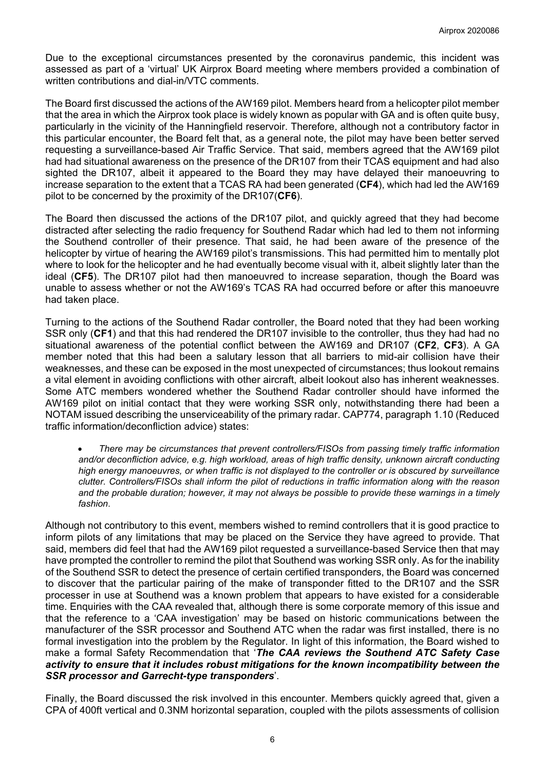Due to the exceptional circumstances presented by the coronavirus pandemic, this incident was assessed as part of a 'virtual' UK Airprox Board meeting where members provided a combination of written contributions and dial-in/VTC comments.

The Board first discussed the actions of the AW169 pilot. Members heard from a helicopter pilot member that the area in which the Airprox took place is widely known as popular with GA and is often quite busy, particularly in the vicinity of the Hanningfield reservoir. Therefore, although not a contributory factor in this particular encounter, the Board felt that, as a general note, the pilot may have been better served requesting a surveillance-based Air Traffic Service. That said, members agreed that the AW169 pilot had had situational awareness on the presence of the DR107 from their TCAS equipment and had also sighted the DR107, albeit it appeared to the Board they may have delayed their manoeuvring to increase separation to the extent that a TCAS RA had been generated (**CF4**), which had led the AW169 pilot to be concerned by the proximity of the DR107(**CF6**).

The Board then discussed the actions of the DR107 pilot, and quickly agreed that they had become distracted after selecting the radio frequency for Southend Radar which had led to them not informing the Southend controller of their presence. That said, he had been aware of the presence of the helicopter by virtue of hearing the AW169 pilot's transmissions. This had permitted him to mentally plot where to look for the helicopter and he had eventually become visual with it, albeit slightly later than the ideal (**CF5**). The DR107 pilot had then manoeuvred to increase separation, though the Board was unable to assess whether or not the AW169's TCAS RA had occurred before or after this manoeuvre had taken place.

Turning to the actions of the Southend Radar controller, the Board noted that they had been working SSR only (**CF1**) and that this had rendered the DR107 invisible to the controller, thus they had had no situational awareness of the potential conflict between the AW169 and DR107 (**CF2**, **CF3**). A GA member noted that this had been a salutary lesson that all barriers to mid-air collision have their weaknesses, and these can be exposed in the most unexpected of circumstances; thus lookout remains a vital element in avoiding conflictions with other aircraft, albeit lookout also has inherent weaknesses. Some ATC members wondered whether the Southend Radar controller should have informed the AW169 pilot on initial contact that they were working SSR only, notwithstanding there had been a NOTAM issued describing the unserviceability of the primary radar. CAP774, paragraph 1.10 (Reduced traffic information/deconfliction advice) states:

• *There may be circumstances that prevent controllers/FISOs from passing timely traffic information and/or deconfliction advice, e.g. high workload, areas of high traffic density, unknown aircraft conducting high energy manoeuvres, or when traffic is not displayed to the controller or is obscured by surveillance clutter. Controllers/FISOs shall inform the pilot of reductions in traffic information along with the reason and the probable duration; however, it may not always be possible to provide these warnings in a timely fashion*.

Although not contributory to this event, members wished to remind controllers that it is good practice to inform pilots of any limitations that may be placed on the Service they have agreed to provide. That said, members did feel that had the AW169 pilot requested a surveillance-based Service then that may have prompted the controller to remind the pilot that Southend was working SSR only. As for the inability of the Southend SSR to detect the presence of certain certified transponders, the Board was concerned to discover that the particular pairing of the make of transponder fitted to the DR107 and the SSR processer in use at Southend was a known problem that appears to have existed for a considerable time. Enquiries with the CAA revealed that, although there is some corporate memory of this issue and that the reference to a 'CAA investigation' may be based on historic communications between the manufacturer of the SSR processor and Southend ATC when the radar was first installed, there is no formal investigation into the problem by the Regulator. In light of this information, the Board wished to make a formal Safety Recommendation that '*The CAA reviews the Southend ATC Safety Case activity to ensure that it includes robust mitigations for the known incompatibility between the SSR processor and Garrecht-type transponders*'.

Finally, the Board discussed the risk involved in this encounter. Members quickly agreed that, given a CPA of 400ft vertical and 0.3NM horizontal separation, coupled with the pilots assessments of collision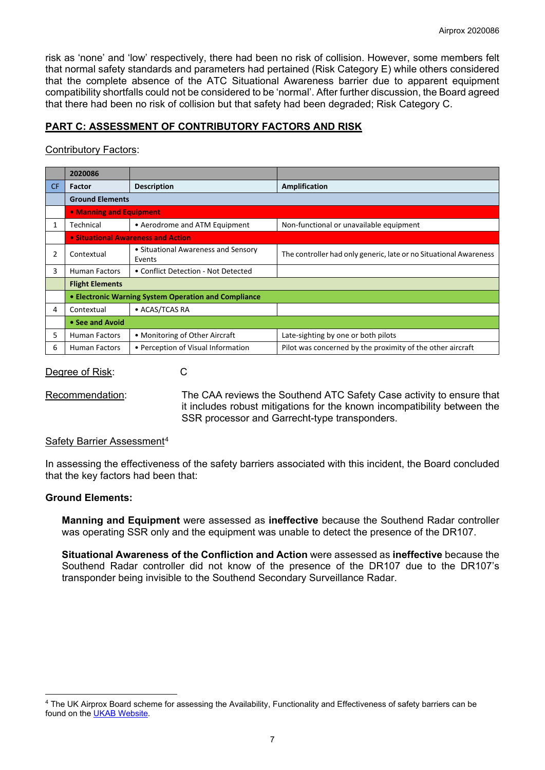risk as 'none' and 'low' respectively, there had been no risk of collision. However, some members felt that normal safety standards and parameters had pertained (Risk Category E) while others considered that the complete absence of the ATC Situational Awareness barrier due to apparent equipment compatibility shortfalls could not be considered to be 'normal'. After further discussion, the Board agreed that there had been no risk of collision but that safety had been degraded; Risk Category C.

# **PART C: ASSESSMENT OF CONTRIBUTORY FACTORS AND RISK**

## Contributory Factors:

|                | 2020086                                              |                                               |                                                                   |  |  |  |
|----------------|------------------------------------------------------|-----------------------------------------------|-------------------------------------------------------------------|--|--|--|
| <b>CF</b>      | <b>Factor</b>                                        | <b>Description</b>                            | Amplification                                                     |  |  |  |
|                | <b>Ground Elements</b>                               |                                               |                                                                   |  |  |  |
|                | • Manning and Equipment                              |                                               |                                                                   |  |  |  |
| 1              | Technical                                            | • Aerodrome and ATM Equipment                 | Non-functional or unavailable equipment                           |  |  |  |
|                | • Situational Awareness and Action                   |                                               |                                                                   |  |  |  |
| $\overline{2}$ | Contextual                                           | • Situational Awareness and Sensory<br>Events | The controller had only generic, late or no Situational Awareness |  |  |  |
| 3              | <b>Human Factors</b>                                 | • Conflict Detection - Not Detected           |                                                                   |  |  |  |
|                | <b>Flight Elements</b>                               |                                               |                                                                   |  |  |  |
|                | • Electronic Warning System Operation and Compliance |                                               |                                                                   |  |  |  |
| 4              | Contextual                                           | • ACAS/TCAS RA                                |                                                                   |  |  |  |
|                | • See and Avoid                                      |                                               |                                                                   |  |  |  |
| 5.             | <b>Human Factors</b>                                 | • Monitoring of Other Aircraft                | Late-sighting by one or both pilots                               |  |  |  |
| 6              | <b>Human Factors</b>                                 | • Perception of Visual Information            | Pilot was concerned by the proximity of the other aircraft        |  |  |  |

#### Degree of Risk: C

Recommendation: The CAA reviews the Southend ATC Safety Case activity to ensure that it includes robust mitigations for the known incompatibility between the SSR processor and Garrecht-type transponders.

### Safety Barrier Assessment[4](#page-6-0)

In assessing the effectiveness of the safety barriers associated with this incident, the Board concluded that the key factors had been that:

### **Ground Elements:**

**Manning and Equipment** were assessed as **ineffective** because the Southend Radar controller was operating SSR only and the equipment was unable to detect the presence of the DR107.

**Situational Awareness of the Confliction and Action** were assessed as **ineffective** because the Southend Radar controller did not know of the presence of the DR107 due to the DR107's transponder being invisible to the Southend Secondary Surveillance Radar.

<span id="page-6-0"></span><sup>4</sup> The UK Airprox Board scheme for assessing the Availability, Functionality and Effectiveness of safety barriers can be found on the [UKAB Website.](http://www.airproxboard.org.uk/Learn-more/Airprox-Barrier-Assessment/)